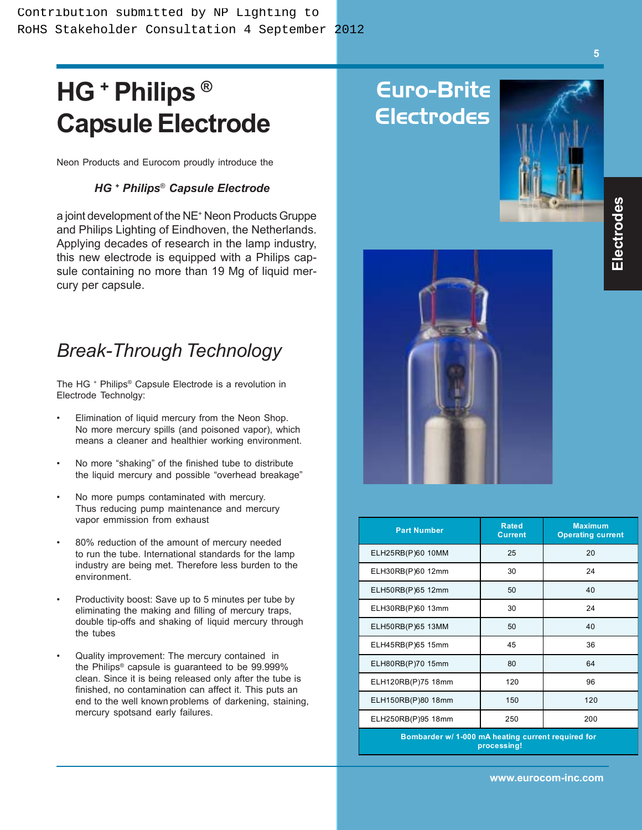# **HG + Philips ® Capsule Electrode**

Neon Products and Eurocom proudly introduce the

#### *HG + Philips*® *Capsule Electrode*

a joint development of the NE<sup>+</sup> Neon Products Gruppe and Philips Lighting of Eindhoven, the Netherlands. Applying decades of research in the lamp industry, this new electrode is equipped with a Philips capsule containing no more than 19 Mg of liquid mercury per capsule.

### *Break-Through Technology*

The HG + Philips® Capsule Electrode is a revolution in Electrode Technolgy:

- Elimination of liquid mercury from the Neon Shop. No more mercury spills (and poisoned vapor), which means a cleaner and healthier working environment.
- No more "shaking" of the finished tube to distribute the liquid mercury and possible "overhead breakage"
- No more pumps contaminated with mercury. Thus reducing pump maintenance and mercury vapor emmission from exhaust
- 80% reduction of the amount of mercury needed to run the tube. International standards for the lamp industry are being met. Therefore less burden to the environment.
- Productivity boost: Save up to 5 minutes per tube by eliminating the making and filling of mercury traps, double tip-offs and shaking of liquid mercury through the tubes
- Quality improvement: The mercury contained in the Philips® capsule is guaranteed to be 99.999% clean. Since it is being released only after the tube is finished, no contamination can affect it. This puts an end to the well known problems of darkening, staining, mercury spotsand early failures.

### Euro-Brite Electrodes





| <b>Part Number</b> | <b>Rated</b><br><b>Current</b> | <b>Maximum</b><br><b>Operating current</b> |
|--------------------|--------------------------------|--------------------------------------------|
| ELH25RB(P)60 10MM  | 25                             | 20                                         |
| ELH30RB(P)60 12mm  | 30                             | 24                                         |
| ELH50RB(P)65 12mm  | 50                             | 40                                         |
| ELH30RB(P)60 13mm  | 30                             | 24                                         |
| ELH50RB(P)65 13MM  | 50                             | 40                                         |
| ELH45RB(P)65 15mm  | 45                             | 36                                         |
| ELH80RB(P)70 15mm  | 80                             | 64                                         |
| ELH120RB(P)75 18mm | 120                            | 96                                         |
| ELH150RB(P)80 18mm | 150                            | 120                                        |
| ELH250RB(P)95 18mm | 250                            | 200                                        |
|                    |                                |                                            |

**Bombarder w/ 1-000 mA heating current required for processing!**